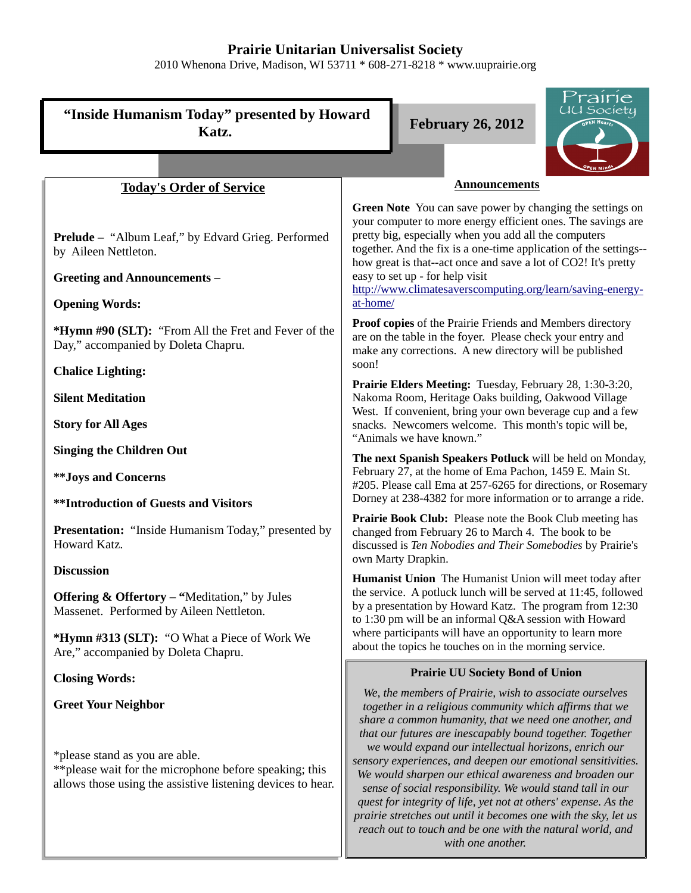# **Prairie Unitarian Universalist Society**

2010 Whenona Drive, Madison, WI 53711 \* 608-271-8218 \* www.uuprairie.org



*with one another.*